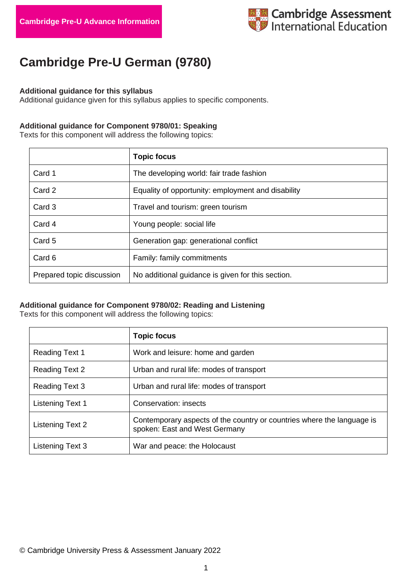

# **Cambridge Pre-U German (9780)**

#### **Additional guidance for this syllabus**

Additional guidance given for this syllabus applies to specific components.

#### **Additional guidance for Component 9780/01: Speaking**

Texts for this component will address the following topics:

|                           | <b>Topic focus</b>                                 |
|---------------------------|----------------------------------------------------|
| Card 1                    | The developing world: fair trade fashion           |
| Card 2                    | Equality of opportunity: employment and disability |
| Card 3                    | Travel and tourism: green tourism                  |
| Card 4                    | Young people: social life                          |
| Card 5                    | Generation gap: generational conflict              |
| Card 6                    | Family: family commitments                         |
| Prepared topic discussion | No additional guidance is given for this section.  |

### **Additional guidance for Component 9780/02: Reading and Listening**

Texts for this component will address the following topics:

|                       | <b>Topic focus</b>                                                                                      |
|-----------------------|---------------------------------------------------------------------------------------------------------|
| <b>Reading Text 1</b> | Work and leisure: home and garden                                                                       |
| <b>Reading Text 2</b> | Urban and rural life: modes of transport                                                                |
| Reading Text 3        | Urban and rural life: modes of transport                                                                |
| Listening Text 1      | Conservation: insects                                                                                   |
| Listening Text 2      | Contemporary aspects of the country or countries where the language is<br>spoken: East and West Germany |
| Listening Text 3      | War and peace: the Holocaust                                                                            |